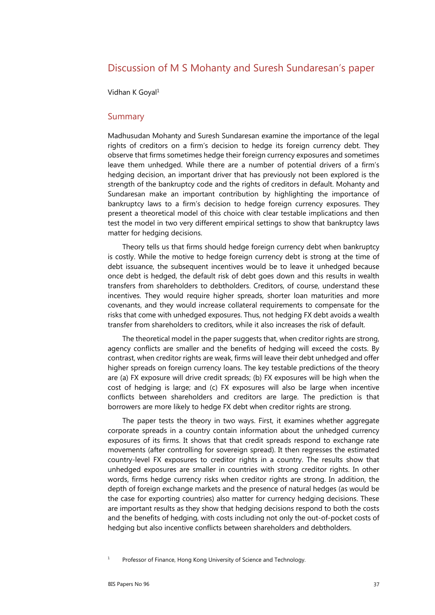# Discussion of M S Mohanty and Suresh Sundaresan's paper

Vidhan K Goyal<sup>1</sup>

#### Summary

Madhusudan Mohanty and Suresh Sundaresan examine the importance of the legal rights of creditors on a firm's decision to hedge its foreign currency debt. They observe that firms sometimes hedge their foreign currency exposures and sometimes leave them unhedged. While there are a number of potential drivers of a firm's hedging decision, an important driver that has previously not been explored is the strength of the bankruptcy code and the rights of creditors in default. Mohanty and Sundaresan make an important contribution by highlighting the importance of bankruptcy laws to a firm's decision to hedge foreign currency exposures. They present a theoretical model of this choice with clear testable implications and then test the model in two very different empirical settings to show that bankruptcy laws matter for hedging decisions.

Theory tells us that firms should hedge foreign currency debt when bankruptcy is costly. While the motive to hedge foreign currency debt is strong at the time of debt issuance, the subsequent incentives would be to leave it unhedged because once debt is hedged, the default risk of debt goes down and this results in wealth transfers from shareholders to debtholders. Creditors, of course, understand these incentives. They would require higher spreads, shorter loan maturities and more covenants, and they would increase collateral requirements to compensate for the risks that come with unhedged exposures. Thus, not hedging FX debt avoids a wealth transfer from shareholders to creditors, while it also increases the risk of default.

The theoretical model in the paper suggests that, when creditor rights are strong, agency conflicts are smaller and the benefits of hedging will exceed the costs. By contrast, when creditor rights are weak, firms will leave their debt unhedged and offer higher spreads on foreign currency loans. The key testable predictions of the theory are (a) FX exposure will drive credit spreads; (b) FX exposures will be high when the cost of hedging is large; and (c) FX exposures will also be large when incentive conflicts between shareholders and creditors are large. The prediction is that borrowers are more likely to hedge FX debt when creditor rights are strong.

The paper tests the theory in two ways. First, it examines whether aggregate corporate spreads in a country contain information about the unhedged currency exposures of its firms. It shows that that credit spreads respond to exchange rate movements (after controlling for sovereign spread). It then regresses the estimated country-level FX exposures to creditor rights in a country. The results show that unhedged exposures are smaller in countries with strong creditor rights. In other words, firms hedge currency risks when creditor rights are strong. In addition, the depth of foreign exchange markets and the presence of natural hedges (as would be the case for exporting countries) also matter for currency hedging decisions. These are important results as they show that hedging decisions respond to both the costs and the benefits of hedging, with costs including not only the out-of-pocket costs of hedging but also incentive conflicts between shareholders and debtholders.

1 Professor of Finance, Hong Kong University of Science and Technology.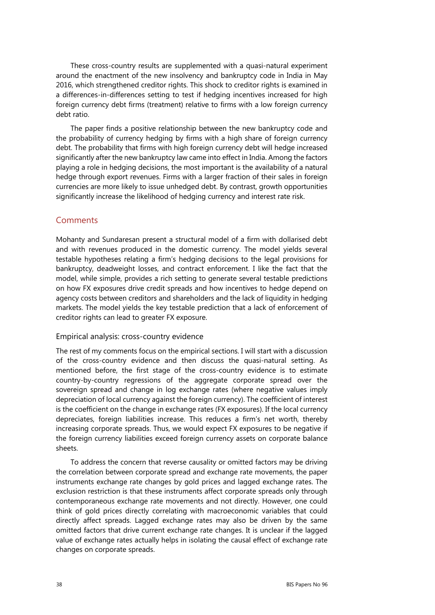These cross-country results are supplemented with a quasi-natural experiment around the enactment of the new insolvency and bankruptcy code in India in May 2016, which strengthened creditor rights. This shock to creditor rights is examined in a differences-in-differences setting to test if hedging incentives increased for high foreign currency debt firms (treatment) relative to firms with a low foreign currency debt ratio.

The paper finds a positive relationship between the new bankruptcy code and the probability of currency hedging by firms with a high share of foreign currency debt. The probability that firms with high foreign currency debt will hedge increased significantly after the new bankruptcy law came into effect in India. Among the factors playing a role in hedging decisions, the most important is the availability of a natural hedge through export revenues. Firms with a larger fraction of their sales in foreign currencies are more likely to issue unhedged debt. By contrast, growth opportunities significantly increase the likelihood of hedging currency and interest rate risk.

## **Comments**

Mohanty and Sundaresan present a structural model of a firm with dollarised debt and with revenues produced in the domestic currency. The model yields several testable hypotheses relating a firm's hedging decisions to the legal provisions for bankruptcy, deadweight losses, and contract enforcement. I like the fact that the model, while simple, provides a rich setting to generate several testable predictions on how FX exposures drive credit spreads and how incentives to hedge depend on agency costs between creditors and shareholders and the lack of liquidity in hedging markets. The model yields the key testable prediction that a lack of enforcement of creditor rights can lead to greater FX exposure.

### Empirical analysis: cross-country evidence

The rest of my comments focus on the empirical sections. I will start with a discussion of the cross-country evidence and then discuss the quasi-natural setting. As mentioned before, the first stage of the cross-country evidence is to estimate country-by-country regressions of the aggregate corporate spread over the sovereign spread and change in log exchange rates (where negative values imply depreciation of local currency against the foreign currency). The coefficient of interest is the coefficient on the change in exchange rates (FX exposures). If the local currency depreciates, foreign liabilities increase. This reduces a firm's net worth, thereby increasing corporate spreads. Thus, we would expect FX exposures to be negative if the foreign currency liabilities exceed foreign currency assets on corporate balance sheets.

To address the concern that reverse causality or omitted factors may be driving the correlation between corporate spread and exchange rate movements, the paper instruments exchange rate changes by gold prices and lagged exchange rates. The exclusion restriction is that these instruments affect corporate spreads only through contemporaneous exchange rate movements and not directly. However, one could think of gold prices directly correlating with macroeconomic variables that could directly affect spreads. Lagged exchange rates may also be driven by the same omitted factors that drive current exchange rate changes. It is unclear if the lagged value of exchange rates actually helps in isolating the causal effect of exchange rate changes on corporate spreads.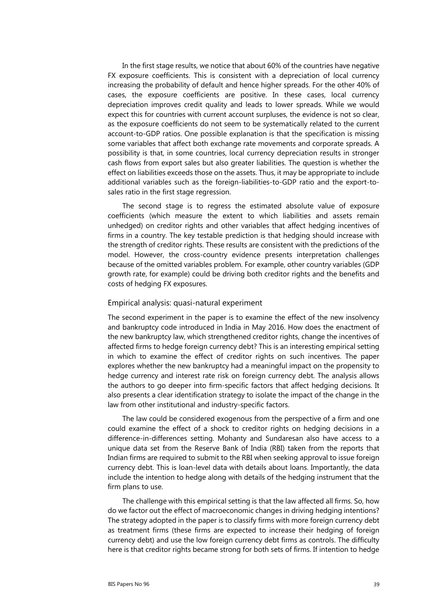In the first stage results, we notice that about 60% of the countries have negative FX exposure coefficients. This is consistent with a depreciation of local currency increasing the probability of default and hence higher spreads. For the other 40% of cases, the exposure coefficients are positive. In these cases, local currency depreciation improves credit quality and leads to lower spreads. While we would expect this for countries with current account surpluses, the evidence is not so clear, as the exposure coefficients do not seem to be systematically related to the current account-to-GDP ratios. One possible explanation is that the specification is missing some variables that affect both exchange rate movements and corporate spreads. A possibility is that, in some countries, local currency depreciation results in stronger cash flows from export sales but also greater liabilities. The question is whether the effect on liabilities exceeds those on the assets. Thus, it may be appropriate to include additional variables such as the foreign-liabilities-to-GDP ratio and the export-tosales ratio in the first stage regression.

The second stage is to regress the estimated absolute value of exposure coefficients (which measure the extent to which liabilities and assets remain unhedged) on creditor rights and other variables that affect hedging incentives of firms in a country. The key testable prediction is that hedging should increase with the strength of creditor rights. These results are consistent with the predictions of the model. However, the cross-country evidence presents interpretation challenges because of the omitted variables problem. For example, other country variables (GDP growth rate, for example) could be driving both creditor rights and the benefits and costs of hedging FX exposures.

#### Empirical analysis: quasi-natural experiment

The second experiment in the paper is to examine the effect of the new insolvency and bankruptcy code introduced in India in May 2016. How does the enactment of the new bankruptcy law, which strengthened creditor rights, change the incentives of affected firms to hedge foreign currency debt? This is an interesting empirical setting in which to examine the effect of creditor rights on such incentives. The paper explores whether the new bankruptcy had a meaningful impact on the propensity to hedge currency and interest rate risk on foreign currency debt. The analysis allows the authors to go deeper into firm-specific factors that affect hedging decisions. It also presents a clear identification strategy to isolate the impact of the change in the law from other institutional and industry-specific factors.

The law could be considered exogenous from the perspective of a firm and one could examine the effect of a shock to creditor rights on hedging decisions in a difference-in-differences setting. Mohanty and Sundaresan also have access to a unique data set from the Reserve Bank of India (RBI) taken from the reports that Indian firms are required to submit to the RBI when seeking approval to issue foreign currency debt. This is loan-level data with details about loans. Importantly, the data include the intention to hedge along with details of the hedging instrument that the firm plans to use.

The challenge with this empirical setting is that the law affected all firms. So, how do we factor out the effect of macroeconomic changes in driving hedging intentions? The strategy adopted in the paper is to classify firms with more foreign currency debt as treatment firms (these firms are expected to increase their hedging of foreign currency debt) and use the low foreign currency debt firms as controls. The difficulty here is that creditor rights became strong for both sets of firms. If intention to hedge